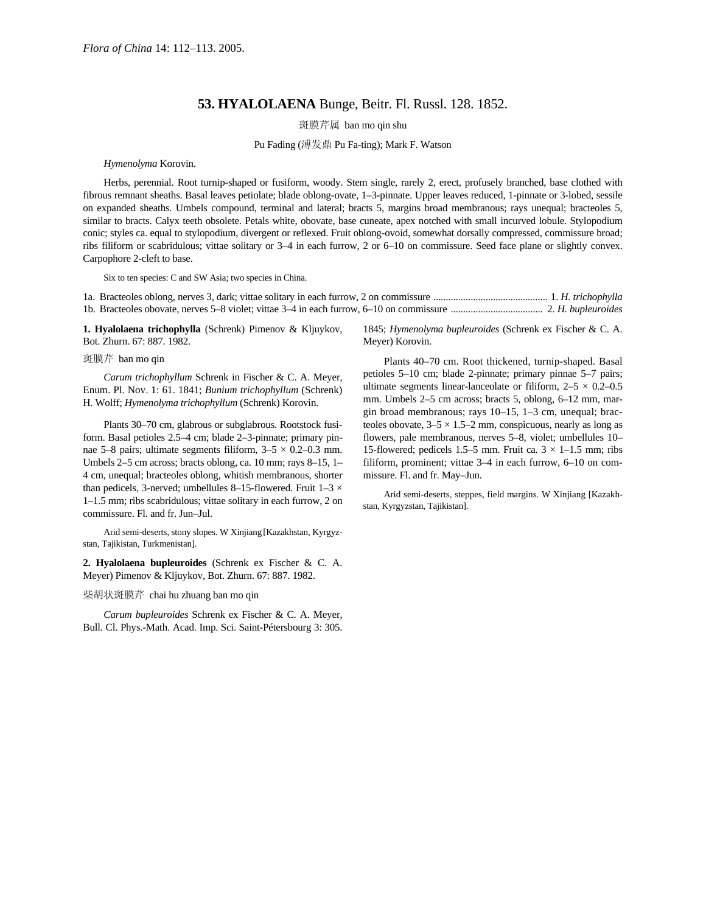## **53. HYALOLAENA** Bunge, Beitr. Fl. Russl. 128. 1852.

斑膜芹属 ban mo qin shu

Pu Fading (溥发鼎 Pu Fa-ting); Mark F. Watson

*Hymenolyma* Korovin.

Herbs, perennial. Root turnip-shaped or fusiform, woody. Stem single, rarely 2, erect, profusely branched, base clothed with fibrous remnant sheaths. Basal leaves petiolate; blade oblong-ovate, 1–3-pinnate. Upper leaves reduced, 1-pinnate or 3-lobed, sessile on expanded sheaths. Umbels compound, terminal and lateral; bracts 5, margins broad membranous; rays unequal; bracteoles 5, similar to bracts. Calyx teeth obsolete. Petals white, obovate, base cuneate, apex notched with small incurved lobule. Stylopodium conic; styles ca. equal to stylopodium, divergent or reflexed. Fruit oblong-ovoid, somewhat dorsally compressed, commissure broad; ribs filiform or scabridulous; vittae solitary or 3–4 in each furrow, 2 or 6–10 on commissure. Seed face plane or slightly convex. Carpophore 2-cleft to base.

Six to ten species: C and SW Asia; two species in China.

1a. Bracteoles oblong, nerves 3, dark; vittae solitary in each furrow, 2 on commissure .............................................. 1. *H. trichophylla* 1b. Bracteoles obovate, nerves 5–8 violet; vittae 3–4 in each furrow, 6–10 on commissure ..................................... 2. *H. bupleuroides*

**1. Hyalolaena trichophylla** (Schrenk) Pimenov & Kljuykov, Bot. Zhurn. 67: 887. 1982.

## 斑膜芹 ban mo qin

*Carum trichophyllum* Schrenk in Fischer & C. A. Meyer, Enum. Pl. Nov. 1: 61. 1841; *Bunium trichophyllum* (Schrenk) H. Wolff; *Hymenolyma trichophyllum* (Schrenk) Korovin.

Plants 30–70 cm, glabrous or subglabrous. Rootstock fusiform. Basal petioles 2.5–4 cm; blade 2–3-pinnate; primary pinnae 5–8 pairs; ultimate segments filiform,  $3-5 \times 0.2-0.3$  mm. Umbels 2–5 cm across; bracts oblong, ca. 10 mm; rays 8–15, 1– 4 cm, unequal; bracteoles oblong, whitish membranous, shorter than pedicels, 3-nerved; umbellules 8-15-flowered. Fruit 1-3  $\times$ 1–1.5 mm; ribs scabridulous; vittae solitary in each furrow, 2 on commissure. Fl. and fr. Jun–Jul.

Arid semi-deserts, stony slopes. W Xinjiang [Kazakhstan, Kyrgyzstan, Tajikistan, Turkmenistan].

**2. Hyalolaena bupleuroides** (Schrenk ex Fischer & C. A. Meyer) Pimenov & Kljuykov, Bot. Zhurn. 67: 887. 1982.

## 柴胡状斑膜芹 chai hu zhuang ban mo qin

*Carum bupleuroides* Schrenk ex Fischer & C. A. Meyer, Bull. Cl. Phys.-Math. Acad. Imp. Sci. Saint-Pétersbourg 3: 305.

1845; *Hymenolyma bupleuroides* (Schrenk ex Fischer & C. A. Meyer) Korovin.

Plants 40–70 cm. Root thickened, turnip-shaped. Basal petioles 5–10 cm; blade 2-pinnate; primary pinnae 5–7 pairs; ultimate segments linear-lanceolate or filiform,  $2-5 \times 0.2-0.5$ mm. Umbels 2–5 cm across; bracts 5, oblong, 6–12 mm, margin broad membranous; rays 10–15, 1–3 cm, unequal; bracteoles obovate,  $3-5 \times 1.5-2$  mm, conspicuous, nearly as long as flowers, pale membranous, nerves 5–8, violet; umbellules 10– 15-flowered; pedicels 1.5–5 mm. Fruit ca.  $3 \times 1$ –1.5 mm; ribs filiform, prominent; vittae 3–4 in each furrow, 6–10 on commissure. Fl. and fr. May–Jun.

Arid semi-deserts, steppes, field margins. W Xinjiang [Kazakhstan, Kyrgyzstan, Tajikistan].